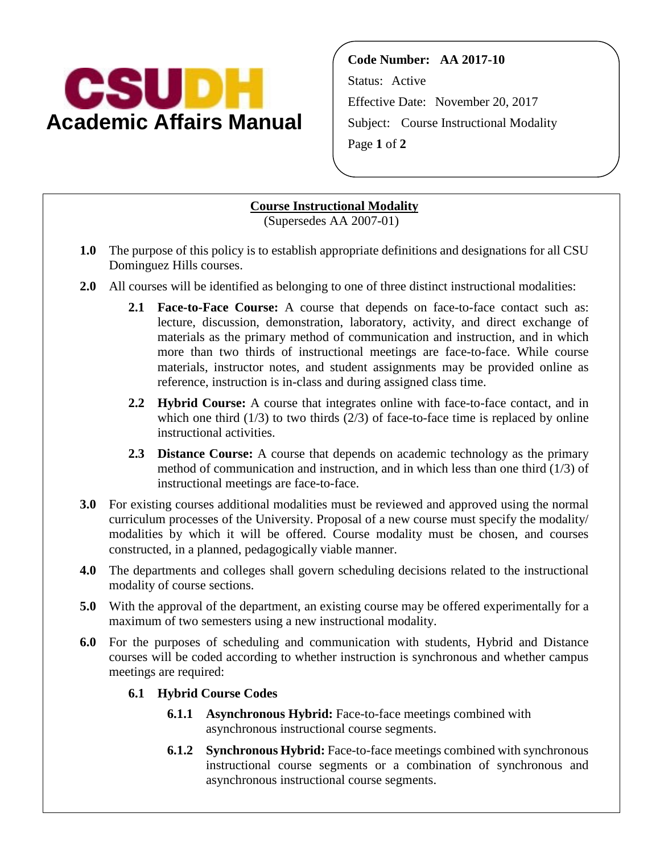

**Code Number: AA 2017-10** Status: Active Effective Date: November 20, 2017 Subject: Course Instructional Modality Page **1** of **2**

## **Course Instructional Modality**

(Supersedes AA 2007-01)

- **1.0** The purpose of this policy is to establish appropriate definitions and designations for all CSU Dominguez Hills courses.
- **2.0** All courses will be identified as belonging to one of three distinct instructional modalities:
	- **2.1 Face-to-Face Course:** A course that depends on face-to-face contact such as: lecture, discussion, demonstration, laboratory, activity, and direct exchange of materials as the primary method of communication and instruction, and in which more than two thirds of instructional meetings are face-to-face. While course materials, instructor notes, and student assignments may be provided online as reference, instruction is in-class and during assigned class time.
	- **2.2 Hybrid Course:** A course that integrates online with face-to-face contact, and in which one third  $(1/3)$  to two thirds  $(2/3)$  of face-to-face time is replaced by online instructional activities.
	- **2.3 Distance Course:** A course that depends on academic technology as the primary method of communication and instruction, and in which less than one third (1/3) of instructional meetings are face-to-face.
- **3.0** For existing courses additional modalities must be reviewed and approved using the normal curriculum processes of the University. Proposal of a new course must specify the modality/ modalities by which it will be offered. Course modality must be chosen, and courses constructed, in a planned, pedagogically viable manner.
- **4.0** The departments and colleges shall govern scheduling decisions related to the instructional modality of course sections.
- **5.0** With the approval of the department, an existing course may be offered experimentally for a maximum of two semesters using a new instructional modality.
- **6.0** For the purposes of scheduling and communication with students, Hybrid and Distance courses will be coded according to whether instruction is synchronous and whether campus meetings are required:
	- **6.1 Hybrid Course Codes**
		- **6.1.1 Asynchronous Hybrid:** Face-to-face meetings combined with asynchronous instructional course segments.
		- **6.1.2 Synchronous Hybrid:** Face-to-face meetings combined with synchronous instructional course segments or a combination of synchronous and asynchronous instructional course segments.